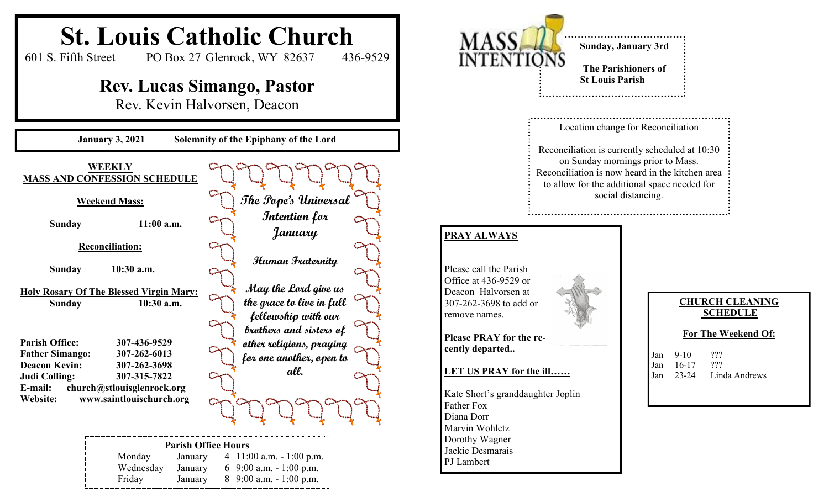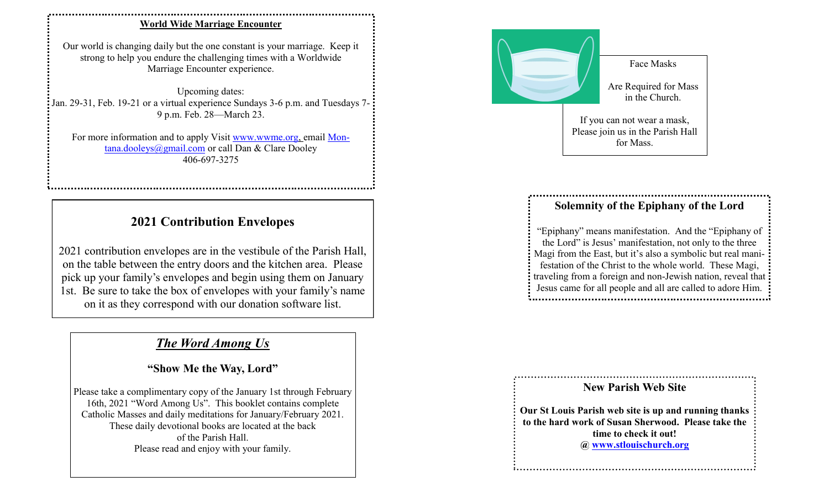## **World Wide Marriage Encounter**

Our world is changing daily but the one constant is your marriage. Keep it strong to help you endure the challenging times with a Worldwide Marriage Encounter experience.

Upcoming dates: Jan. 29-31, Feb. 19-21 or a virtual experience Sundays 3-6 p.m. and Tuesdays 7- 9 p.m. Feb. 28—March 23.

For more information and to apply Visit www.wwme.org, email Montana.dooleys@gmail.com or call Dan & Clare Dooley 406-697-3275

## **2021 Contribution Envelopes**

2021 contribution envelopes are in the vestibule of the Parish Hall, on the table between the entry doors and the kitchen area. Please pick up your family's envelopes and begin using them on January 1st. Be sure to take the box of envelopes with your family's name on it as they correspond with our donation software list.

## *The Word Among Us*

**"Show Me the Way, Lord"**

Please take a complimentary copy of the January 1st through February 16th, 2021 "Word Among Us". This booklet contains complete Catholic Masses and daily meditations for January/February 2021. These daily devotional books are located at the back of the Parish Hall. Please read and enjoy with your family.



## **Solemnity of the Epiphany of the Lord**

"Epiphany" means manifestation. And the "Epiphany of the Lord" is Jesus' manifestation, not only to the three Magi from the East, but it's also a symbolic but real manifestation of the Christ to the whole world. These Magi, traveling from a foreign and non-Jewish nation, reveal that Jesus came for all people and all are called to adore Him. 



**Our St Louis Parish web site is up and running thanks to the hard work of Susan Sherwood. Please take the time to check it out! @ www.stlouischurch.org**